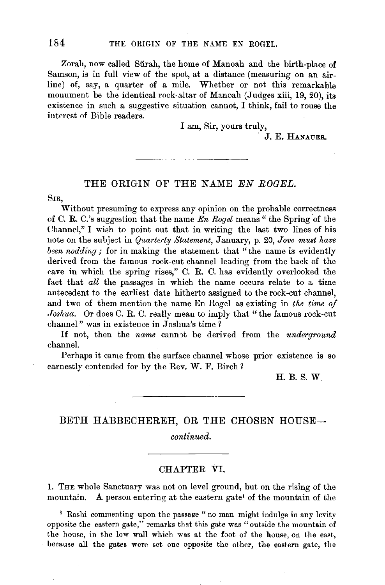Zorah, now called Sŭrah, the home of Manoah and the birth-place of Samson, is in full view of the spot, at a distance (measuring on an airline) of, say, a quarter of a mile. Whether or not this remarkable monument be the identical rock-altar of Manoah (Judges xiii, 19, 20), its existence in such a suggestive situation cannot, I think, fail to rouse the interest of Bible readers.

I am, Sir, yours truly,

. J. E. HANAUER.

# THE ORIGIN OF THE NAME EN ROGEL.

SIR,

Without presuming to express any opinion on the probable correctness of C. R. C.'s suggestion that the name *En Rogel* means " the Spring of the Channel," I wish to point out that in writing the last two lines of his note on the subject in *Quarterly Statement,* January, p. 20, *Jove must have been nodding;* for in making the statement that "the name is evidently derived from the famous rock-cut channel leading from the back of the cave in which the spring rises," C. R. C. has evidently overlooked the fact that *all* the passages in which the name occurs relate to a time antecedent to the earliest date hitherto assigned to the rock-cut channel, and two of them mention the name En Rogel as existing in the time of *.Toshua.* Or does C. R. C. really mean to imply that "the famous rock-cut channel" was in existence in Joshua's time  $\frac{1}{2}$ 

If not, then the *name* cannot be derived from the *underground* channel.

Perhaps it came from the surface channel whose prior existence is so earnestly contended for by the Rev. W. F. Birch ?

H.B.S.W

# BETH HABBECHEREH, OR THE CHOSEN HOUSE-

*continued.* 

#### CHAPTER VI.

1. THE whole Sanctuary was not on level ground, but on the rising of the mountain. A person entering at the eastern gate' of the mountain of the

<sup>1</sup> Rashi commenting upon the passage "no man might indulge in any levity opposite the eastern gate," remarks that this gate was "outside the mountain of the house, in the low wall which was at the foot of the house, on the east, because all the gates were set one opposite the other, the eastern gate, the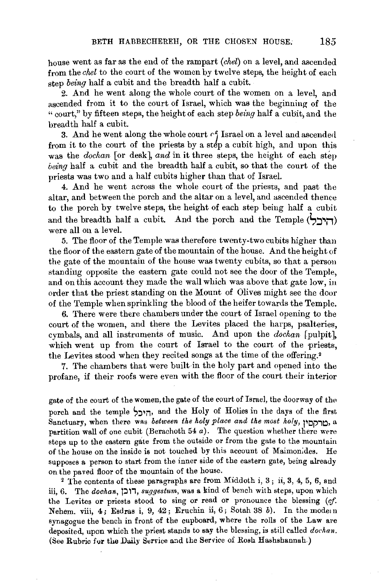house went as far as the end of the rampart *(chel)* on a level, and ascended from the *chel* to the court of the women by twelve steps, the height of each step *being* half a cubit and the breadth half a cubit.

2. And he went along the whole court of the women on a level and ascended from it to the court of Israel, which was the beginning of the "court," by fifteen steps, the height of each step *being* half a cubit, and the breadth half a cubit.

3. And he went along the whole court  $\cap$ f Israel on a level and ascended from it to the court of the priests by a step a cubit high, and upon this was the *dochan* [or desk], and in it three steps, the height of each step *being* half a cubit and the breadth half a cubit, so that the court of the priests was two and a half cubits higher than that of Israel.

4. And he went across the whole court of the priests, and past the altar, and between the porch and the altar on a level, and ascended thence to the porch by twelve steps, the height of each step being half a cubit and the breadth half a cubit. And the porch and the Temple (<del>רו</del>יבל) were all on a level.

5. The floor of the Temple was therefore twenty-two cubits higher than the floor of the eastern gate of the mountain of the house. And the height of the gate of the mountain of the house was twenty cubits, so that a person standing opposite the eastern gate could not see the door of the Temple, and on this account they made the wall which was above that gate low, in order that the priest standing on the Mount of Olives might see the door of the Temple when sprinkling the blood of the heifer towards the Temple.

6. There were there chambers under the court of Israel opening to the court of the women, and there the Levites placed the harps, psalteries, cymbals, and all instruments of music. And upon the *dochan* [pulpit], which went up from the court of Israel to the court of the priests, the Levites stood when they recited songs at the time of the offering.•

7. The chambers that were built in the holy part and opened into the profane, if their roofs were even with the floor of the court their interior

gate of the court of the women, the gate of the court of Israel, the doorway of the porch and the temple היכל, and the Holy of Holies in the days of the first Sanctuary, when there was *between the holy place and the most holy,* pop;~, a partition wall of one cubit (Berachoth 54 $a$ ). The question whether there were steps up to the eastern gate from the outside or from the gate to the mountain of the house on the inside is not touched by this account of Maimon;des. He supposes a person to start from the inner side of the eastern gate, being already on the paved floor of the mountain of the house.

2 The contents of these paragraphs are from Middoth i, 3 ; ii, 3, 4, 5, 6, and iii, 6. The *dochan*, *ו*ובן, *suggestum*, was a kind of bench with steps, upon which the Levites or priests stood to sing or read or pronounce the blessing (cf. Nehem. viii, 4; Esdras i, 9, 42; Eruchin ii, 6; Sotah 38 b). In the mode n synagogue the bench in front of the cupboard, where the rolls of the Law are deposited, upon which the priest stands to say the blessing, is still called *dochan.*  (See Rubric for the Daily Service and the Service of Rosh Hashshannah.)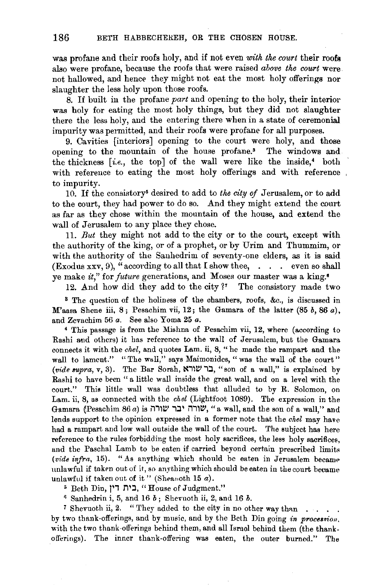was profane and their roofs holy, and if not even *with the court* their roofs also were profane, because the roofs that were raised *above the court* were not hallowed, and hence they might not eat the most holy offerings nor slaughter the less holy upon those roofs.

8. If built in the profane *part* and opening to the holy, their interior was holy for eating the most holy things, but they did not slaughter there the less holy, and the entering there when in a state of ceremonial impurity was permitted, and their roofs were profane for all purposes.

9. Cavities [interiors] opening to the court were holy, and those opening to the mountain of the house profane.<sup>3</sup> The windows and the thickness *[i.e., the top]* of the wall were like the inside,<sup>4</sup> both with reference to eating the most holy offerings and with reference to impurity.

10. If the consistory<sup>5</sup> desired to add to *the city of* Jerusalem, or to add to the court, they had power to do so. And they might extend the court as far as they chose within the mountain of the house, and extend the wall of Jerusalem to any place they chose.

11. *But* they might not add to the city or to the court, except with the authority of the king, or of a prophet, or by Urim and Thummim, or with the authority of the Sanhedrim of seventy-one elders, as it is said (Exodus xxv, 9), "according to all that I show thee,  $\ldots$  even so shall ye make *it,"* for *future* generations, and Moses our master was a king. •

12. And how did they add to the city  $i^*$  The consistory made two

<sup>3</sup> The question of the holiness of the chambers, roofs, &c., is discussed in M'aasa Shene iii, 8; Pesachim vii, 12; the Gamara of the latter (85 *b*, 86 *a*), and Zevachim 56 *a*. See also Yoma 25 *a*.

4 This passage is from the Mishna of Pesachim vii, 12, where (according to Rashi and others) it has reference to the wall of Jerusalem, but the Gamara connects it with the *chel*, and quotes Lam. ii, 8, "he made the rampart and the wall to lament." "The wall," says Maimonides, "was the wall of the court" (vide supra, v, 3). The Bar Sorah, בר שורא, "son of a wall," is explained by Rashi to have been " a little wall inside the great wall, and on a level with the court." This little wall was doubtless that alluded to by R. Solomon, on Lam. ii, 8, as connected with the *chel* (Lightfoot 1089). The expression in the Gamara (Pesachim 86 a) is יצורה יבר שורה, "a wall, and the son of a wall," and lends support to the opinion expressed in a former note that the *chel* may have had a rampart and low wall outside the wall of the court. The subject has here reference to the rules forbidding the most holy sacrifices, the less holy sacrifices, and the Paschal Lamb to be eaten if carried beyond certain prescribed limits *(vide infra, 15).* "As anything which should be eaten in Jerusalem became unlawful if taken out of it, so anything which should be eaten in the court became unlawful if taken out of it" (Sheanoth 15  $a$ ).

s Beth Din, **)11 T"\ 1:1,** "House of Judgment."

" Sanhedrin i, 5, and 16 *b;* Shevuoth ii, 2, and 16 *b.* 

 $7$  Shevuoth ii, 2. " They added to the city in no other way than . . . . by two thank-offerings, and by music, and by the Beth Din going in *procession*, with the two thank-offerings behind them, and all Israel behind them (the thankofferings). The inner thank-offering was eaten, the outer burned." The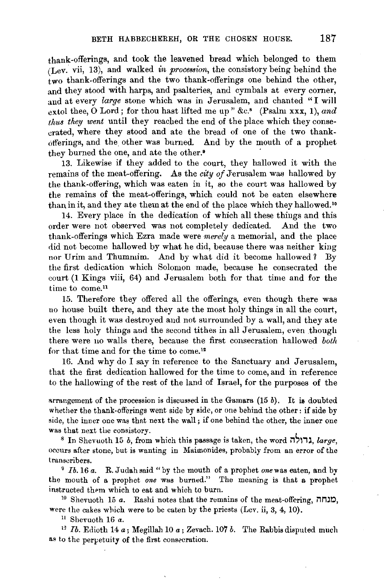thank-offerings, and took the leavened bread which belonged to them (Lev. vii, 13), and walked *in procession,* the consistory being behind the two thank-offerings and the two thank-offerings one behind the other, and they stood with harps, and psalteries, and cymbals at every corner, and at every *large* stone which was in Jerusalem, and chanted "I will extol thee, 0 Lord; for thou hast lifted me up" &c.' (Psalm xxx, **1),** *and thus they went* until they reached the end of the place which they consecrated, where they stood and ate the bread of one of the two thankofferings, and the other was burned. And by the mouth of a prophet they burned the one, and ate the other.<sup>9</sup>

13. Likewise if they added to the court, they hallowed it with the remains of the meat-offering. As the *city of Jerusalem was hallowed by* the thank-offering, which was eaten in it, so the court was hallowed by the remains of the meat-offerings, which could not be eaten elsewhere than in it, and they ate them at the end of the place which they hallowed. <sup>10</sup>

14. Every place in the dedication of which all these things and this order were not observed was not completely dedicated. .And the two thank-offerings which Ezra made were *merely* a memorial, and the place did not become hallowed by what he did, because there was neither king nor Urim and Thummim. And by what did it become hallowed? By the first dedication which Solomon made, because he consecrated the court (1 Kings viii, 64) and Jerusalem both for that time and for the time to come.<sup>11</sup>

15. Therefore they offered all the offerings, even though there was no house built there, and they ate the most holy things in all the court, even though it was destroyed and not surrounded by a wall, and they ate the less holy things and the second tithes in all Jerusalem, even though there were no walls there, because the first consecration hallowed *both*  for that time and for the time to come.<sup>12</sup>

16. And why do I say in reference to the Sanctuary and Jerusalem, that the first dedication hallowed for the time to come, and in reference to the hallowing of the rest of the land of Israel, for the purposes of the

arrangement of the procession is discussed in the Gamara  $(15 b)$ . It is doubted whether the thank-offerings went side by side, or one behind the other: if side by side, the inner one was that next the wall; if one behind the other, the inner one

was that next the consistory.<br><sup>8</sup> In Shevuoth 15 *b*, from which this passage is taken, the word *M*; *large*, occurs after stone, but is wanting in Maimonides, probably from an error of the transcribers. 9 *lb.* 16 *a.* R. J udah said "by the mouth of a prophet *one* was eaten, and by

the mouth of a prophet *one* was burned." The meaning is that a prophet instructed them which to eat and which to burn. 10 Shevuoth 15 *a.* Rashi notes that the remains of the meat-offering, **Mmr.>,** 

were the cakes which were to be eaten by the priests (Lev. ii, 3, 4, 10).

<sup>11</sup> Shevuoth 16 a.

<sup>12</sup> *Ib.* Edioth 14 a; Megillah 10 a; Zevach. 107 *b*. The Rabbis disputed much as to the perpetuity of the first consecration.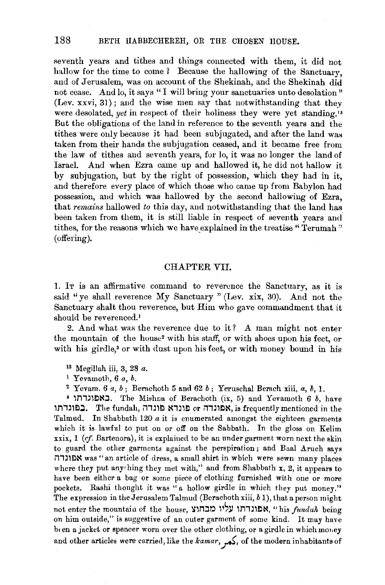seventh years and tithes and things connected with them, it did not hallow for the time to come ? Because the hallowing of the Sanctuary, and of Jerusalem, was on account of the Shekinah, and the Shekinah did not cease. And lo, it says "I will bring your sanctuaries unto desolation" (Lev. xxvi, 31); and the wise men say that notwithstanding that they were desolated, *yet* in respect of their holiness they were yet standing.<sup>13</sup> But the obligations of the land in reference to the seventh years and the tithes were only because it had been subjugated, and after the land was taken from their hands the subjugation ceased, and it became free from the law of tithes and seventh years, for lo, it was no longer the land of Israel. And when Ezra came up and hallowed it, he did not hallow it by subjugation, but by the right of possession, which they had in it, and therefore every place of which those who came up from Babylon had possession, and which was hallowed by the second hallowing of Ezra, that *remains* hallowed *to* this day, and notwithstanding that the land has been taken from them, it is still liable in respect of seventh years and tithes, for the reasons which we have explained in the treatise "Terumah" (offering).

## CHAPTER VII.

1. IT is an affirmative command to reverence the Sanctuary, as it is said "ye shall reverence My Sanctuary " (Lev. xix, 30). And not the Sanctuary shalt thou reverence, but Him who gave commandment that it should be reverenced.<sup>1</sup>

2. And what was the reverence due to it? A man might not enter the mountain of the house<sup>2</sup> with his staff, or with shoes upon his feet, or with his girdle,<sup>3</sup> or with dust upon his feet, or with money bound in his

13 Megillah iii, 3, 28 *a.* 

1 Yevamoth, 6 *a, b.* 

<sup>2</sup> Yevam. 6  $a, b$ ; Berachoth 5 and 62  $b$ ; Yeruschal Berach xiii,  $a, b, 1$ .

• lM,~l~~:J. The Mi•hna of Berachoth (ix, 5) and Y evamoth 6 *b,* have בפונדתו, $~$ The fundah, פונדה or il המונדה, is frequently mentioned in the Talmud. In Shabbath 120  $a$  it is enumerated amongst the eighteen garments which it is lawful to put on or off on the Sabbath. In the gloss on Kelim  $\overline{x}$ xix, 1 (cf. Bartenora), it is explained to be an under garment worn next the skin to guard the other garments against the perspiration; and Baal Aruch says i1,~l~~ was" an article of dress, a small shirt in which were sewn many places where they put any• hing they met with," and from Shabbath x, 2, it appears to have been either a bag or some piece of clothing furnished with one or more pockets. Rashi thought it was "a hollow girdle in which they put money." The expression in the Jerusalem Talmud (Berachoth xiii, *b* 1), that a person might not enter the mountain of the house, אפונרתו עליו מבחוצ, "his *fundah* being on him outside," is suggestive of an outer garment of some kind. It may have bten a jacket or spencer worn over the other clothing, or a girdle in which movey and other articles were carried, like the kamar,  $\frac{1}{\sqrt{2}}$ , of the modern inhabitants of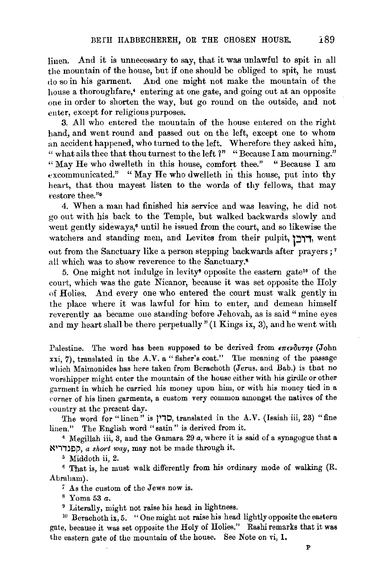linen. And it is unnecessary to say, that it was unlawful to spit in all the mountain of the house, but if one should be obliged to spit, he must do so in his garment. And one might not make the mountain of the house a thoroughfare,• entering at one gate, and going out at an opposite one in order to shorten the way, but go round on the outside, and not enter, except for religious purposes.

3. All who entered the mountain of the house entered on the right hand, and went round and passed out on the left, except one to whom an accident happened, who turned to the left. Wherefore they asked him, " what ails thee that thou turnest to the left *1"* "Because I am mourning." "May He who dwelleth in this house, comfort thee." "Because I am excommunicated." "May He who dwelleth in this house, put into thy heart, that thou mayest listen to the words of thy fellows, that may restore thee."<sup>5</sup>

4. When a man had finished his service and was leaving, he did not go out with his back to the Temple, but walked backwards slowly and went gently sideways,• until he issued from the court, and so likewise the watchers and standing men, and Levites from their pulpit, ורבן, went out from the Sanctuary like a person stepping backwards after prayers ; 7 all which was to show reverence to the Sanctuary.•

5. One might not indulge in levity<sup>•</sup> opposite the eastern gate<sup>10</sup> of the court, which was the gate Nicanor, because it was set opposite the Holy of Holies. And every one who entered the court must walk gently in the place where it was lawful for him to enter, and demean himself reverently as became one standing before Jehovah, as is said "mine eyes and my heart shall be there perpetually" (1 Kings ix, 3), and he went with

Palestine. The word has been supposed to be derived from *επενδυτης* (John xxi, 7), translated in the A.V. a "fisher's coat." The meaning of the passage which Maimonides has here taken from Berachoth (Jerus. and Bab.) is that no worshipper might enter the mountain of the house either with his girdle or other garment in which he carried his money upon him, or with his money tied in a corner of his linen garments, a custom very common amongst the natives of the country at the present day.

The word for "linen" is )1,0, translated in the A. V. (Isaiah iii, 23) "fine linen." The English word "satin" is derived from it. 4 Megillah iii, 3, and the Gamara 29 *a,* where it is said of a synagogue that a

~~i,~Elp, *a skwt way,* may not be made through it.

<sup>5</sup> Middoth ii, 2. 6 That is, he must walk differently from his ordinary mode of walking (R. Abraham).

; As the custom of the Jews now is. 8 Yoma 53 *a.* 

<sup>9</sup> Literally, might not raise his head in lightness.<br><sup>10</sup> Berachoth ix, 5. "One might not raise his head lightly opposite the eastern gate, because it was set opposite the Holy of Holies." Rashi remarks that it was the eastern gate of the mountain of the house. See Note on vi, 1.

 $\mathbf{P}$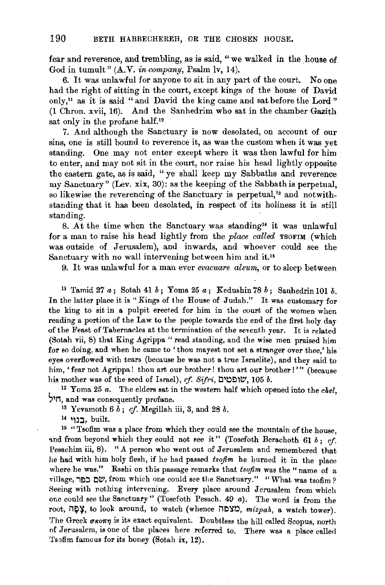fear and reverence, and trembling, as is said, "we walked in the house of God in tumult" (A.V. *in company*, Psalm lv, 14).

6. It was unlawful for anyone to sit in any part of the court. No one had the right of sitting in the court, except kings of the house of David only,<sup>11</sup> as it is said "and David the king came and sat before the Lord" (1 Chron. xvii, 16). And the Sanhedrim who sat in the chamber Gazith sat only in the profane half.<sup>12</sup>

7. And although the Sanctuary is now desolated, on account of our sins, one is still bound to reverence it, as was the custom when it was yet standing. One may not enter except where it was then lawful for him to enter, and may not sit in the court, nor raise his head lightly opposite the eastern gate, as is said, "ye shall keep my Sabbaths and reverence my Sanctuary" (Lev. xix, 30): as the keeping of the Sabbath is perpetual, so likewise the reverencing of the Sanctuary is perpetual,<sup>13</sup> and notwithstanding that it has been desolated, in respect of its holiness it is still standing.

8. At the time when the Sanctuary was standing" it was unlawful for a man to raise his head lightly from the *place called* TSOFIM (which was outside of Jerusalem), and inwards, and whoever could see the Sanctuary with no wall intervening between him and it.<sup>15</sup>

9. It was unlawful for a man ever *evacuare alvum,* or to sleep between

<sup>11</sup>Tamid 27 a; Sotah 41 *b;* Yoma 25 a; Kedushin 78 *b;* Sanhedrin 101 *b.*  In the latter place it is "Kings of the House of Judah." It was customary for the king to sit in a pulpit erected for him in the court of the women when reading a portion of the Law to the people towards the end of the first holy day of the Feast of Tabernacles at the termination of the seventh year. It is related (Sotah vii, 8) that King Agrippa " read standing, and the wise men praised him for so doing, and when he came to' thou mayest not set a stranger over thee,' his eyes overflowed with tears (because he was not a true Israelite), and they said to him, 'fear not Agrippa! thou art our brother! thou art our brother!'" (because his mother was of the seed of Israel), of. *Sifri*, שופטים, 105 *b*.

<sup>12</sup> Yoma 25 *a*. The elders sat in the western half which opened into the *chel*, **Primerical** was consequently profane.

 $^{13}$  Yevamoth 6  $b$ ; *cf.* Megillah iii, 3, and 28  $b$ .

14 בנוי, built.

15 " Tsofim was a place from which they could see the mountain of the house, and from beyond which they could not see it" (Tosefoth Berachoth 61  $b$ ; cf. Pesachim iii, 8). "A person who went out of Jerusalem and remembered that he had with him holy flesh, if he had passed *tsojim* he burned it in the place where he was." Rashi on this passage remarks that *tsojim* was the "name of a village, שם כפר, from which one could see the Sanctuary." "What was tsofim? Seeing with nothing intervening. Every place around Jerusalem from which one could see the Sanctuary" (Tosefoth Pesach. 49 a). The word is from the root, **בְּקָה**, to look around, to watch (whence  $\Box$ צפה, *mizpah*, a watch tower). The Greek  $\sigma$ кот $\eta$  is its exact equivalent. Doubtless the hill called Scopus, north of Jerusalem, is one of the places here referred to. There was a place called Tsofim famous for its honey (Sotah ix, 12).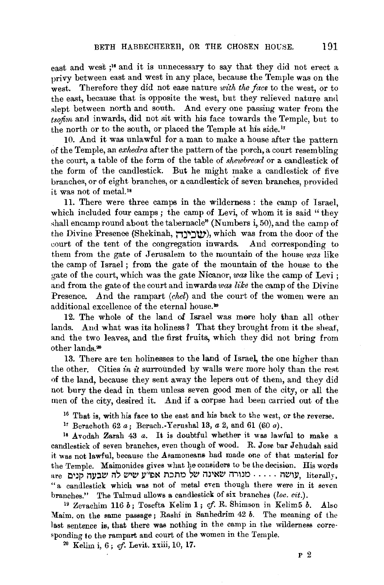east and west ;16 and it is unnecessary to say that they did not erect a privy between east and west in any place, because the Temple was on the west. Therefore they did not ease nature *with the face* to the west, or to the east, because that is opposite the west, but they relieved nature and slept between north and south. And every one passing water from the  $tsofm$  and inwards, did not sit with his face towards the Temple, but to the north or to the south, or placed the Temple at his side.<sup>17</sup>

10. And it was unlawful for a man to make a house after the pattern of the Temple, an *exhedra* after the pattern of the porch, a court resembling the court, a table of the form of the table of *shewbread* or a candlestick of the form of the candlestick. But he might make a candlestick of five branches, or of eight branches, or a candlestick of seven branches, provided it was not of metal. 1•

11. There were three camps in the wilderness : the camp of Israel, which included four camps; the camp of Levi, of whom it is said "they shall encamp round about the tabernacle" (Numbers  $i, 50$ ), and the camp of the Divine Presence (Shekinah, **0j.,:J'!V'),** which was from the door of the court of the tent of the congregation inwards. And corresponding to them from the gate of Jerusalem to the mountain of the house *was* like the camp of Israel ; from the gate of the mountain of the house to the gate of the court, which was the gate Nicanor, *was* like the camp of Levi ; and from the gate of the court and inwards *vias like* the camp of the Divine Presence. And the rampart *(chel)* and the court of the women were an additional excellence of the eternal house.<sup>19</sup>

12. The whole of the land of Israel was more holy than all other lands. And what was its holiness? That they brought from it the sheaf, and the two leaves, and the first fruits, which they did not bring from other lands.<sup>20</sup>

13. There are ten holinesses to the land of Israel, the one higher than the other. Cities in  $\dot{u}$  surrounded by walls were more holy than the rest of the land, because they sent away the lepers out of them, and they did not bury the dead in them unless seven good men of the city, or all the men of the city, desired it. And if a corpse had been carried out of the

<sup>16</sup> That is, with his face to the east and his back to the west, or the reverse. <sup>17</sup> Berachoth 62 *a*; Berach.-Yerushal 13, *a* 2, and 61 (60 *a*).

Is Avodah Zarah 43 *a.* It is doubtful whether it was lawful to make a candlestick of seven branches, even though of wood. R. Jose bar Jehudah said it was not lawful, because the Asamoneans had made one of that material for the Temple. Maimonides gives what he considers to be the decision. His words are **11. ווואינה:** יוורה שאינה של מתכת אפ<sup>וו</sup>ע שיש לה שבעה קנים. "a candlestick which was not of metal even though there were in it seven branches." The Talmud allows a candlestick of six branches *(loc. cit.).* 

<sup>19</sup> Zevachim 116 *b*; Tosefta Kelim 1; cf. R. Shimson in Kelim5 *b*. Also Maim. on the same passage; Rashi in Sanhedrim  $42 b$ . The meaning of the last sentence is, that there was nothing in the camp in the wilderness corresponding to the rampart and court of the women in the Temple.  $20$  Kelim i, 6; cf. Levit. xxiii, 10, 17.

p 2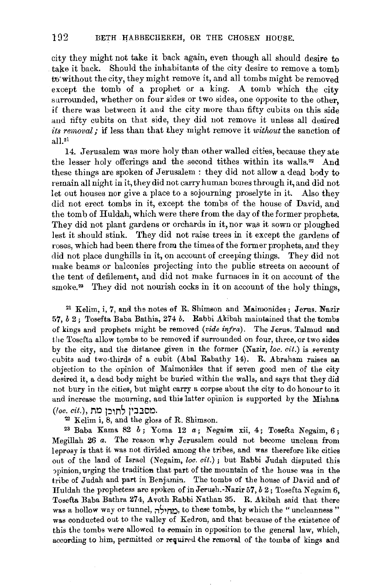city they might not take it back again, even though all should desire to take it back. Should the inhabitants of the city desire to remove a tomb ro·without the city, they might remove it, and all tombs might be removed except the tomb of a prophet or a king. A tomb which the city surrounded, whether on four sides or two sides, one opposite to the other. if there was between it and the city more than fifty cubits on this side and rifty cubits on that side, they did not remove it unless all desired *its removal;* if less than that they might remove it *without* the sanction of all.21

14. Jerusalem was more holy than other walled cities, because they ate the lesser holy offerings and the second tithes within its walls.<sup>22</sup> And these things are spoken of Jerusalem : they did not allow a dead body to remain all night in it, they did not carry human bones through it, and did not let out houses nor give a place to a sojourning proselyte in it. Also they did not erect tombs in it, except the tombs of the house of David, and the tomb of Huldah, which were there from the day of the former prophets. They did not plant gardens or orchards in it, nor was it sown or ploughed lest it should stink. They did not raise trees in it except the gardens of roses, which had been there from the times of the former prophets, and they did not place dunghills in it, on account of creeping things. They did not make beams or balconies projecting into the public streets on account of the tent of defilement, and did not make furnaces in it on account of the smoke.<sup>23</sup> They did not nourish cocks in it on account of the holy things,

 $21$  Kelim, i, 7, and the notes of R. Shimson and Maimonides; Jerus. Nazir 57, *b* 2; 'l'osefta Baba Bathia, 274 *b.* Rabbi Akibah maintained that the tombs of kings and prophets might be removed *(vide infra).* The Jerus. Talmud and the Tosefta allow tombs to be removed if surrounded on four, three, or two sides by the city, and the distance given in the former (Nazir, loc. cit.) is seventy cubits and two·thirds of a cubit (Abal Rabathy 14). R. Abraham raises an objection to the opinion of Maimonides that if seven good men of the city desired it, a dead body might be buried within the walls, and says that they did not bury in the cities, but might carry a corpse about the city to do honour to it and increase the mourning, and this latter opinion is supported by the Mishna *(loc. cit.),* Mtl ):11nS )IJ:J.Otl.

 $22$  Kelim i, 8, and the gloss of R. Shimson.

<sup>23</sup> Baba Kama 82  $b$ ; Yoma 12  $a$ ; Negaim xii, 4; Tosefta Negaim, 6; Megillah 26 *a.* The reason why Jerusalem could not become unclean from leprosy is that it was not divided among the tribes, and was therefore like cities out of the land of Israel (Negaim, *loc. cit.)* ; but Rabbi Judah disputed this ppinion, urging the tradition that part of the mountain of the house was in the tribe of Judah and part in Benjamin. The tombs of the house of David and of Huldah the prophetess are spoken of in Jerush.-Nazir 57, *b* 2; Tosefta Negaim 6, Tosefta Baba Bathra 274, Avoth Rabbi Nathan 35. R. Akibah said that there was a hollow way or tunnel, *החיל*ה, to these tombs, by which the "uncleanness" was conducted out to the valley of Kedron, and that because of the existence of this the tombs were allowed to remain in opposition to the general law, which, according to him, permitted or required the removal of the tombs of kings and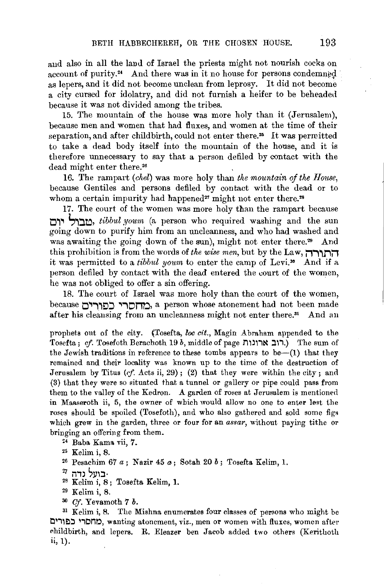and also in all the land of Israel the priests might not nourish cocks on account of purity. $4$  And there was in it no house for persons condemned as lepers, and it did not become unclean from leprosy. It did not become a city cursed for idolatry, and did not furnish a heifer to be beheaded because it was not divided among the tribes.

15. The mountain of the house was more holy than it (Jerusalem), because men and women that had fluxes, and women at the time of their separation, and after childbirth, could not enter there.<sup>25</sup> It was permitted to take a dead body itself into the mountain of the house, and it is therefore unnecessary to say that a person defiled by contact with the dead might enter there.26

16. The rampart *(chel)* was more holy than *the mountain of the House,*  because Gentiles and persons defiled by contact with the dead or to whom a certain impurity had happened<sup>27</sup> might not enter there.<sup>28</sup>

17. The court of the women was more holy than the rampart because **0,.,** ',,::l,~, *tibbul,youm* (a person who required washing and the sun going down to purify him from an uncleanness, and who had washed and was awaiting the going down of the sun), might not enter there.<sup>29</sup> And this prohibition is from the words of *the wise men,* but by the Law, **i1'i,.lii1**  it was permitted to a *tibbul youm* to enter the camp of Levi.•• And if a person defiled by contact with the dead entered the court of the women, he was not obliged to offer a sin offering.

18. The court of Israel was more holy than the court of the women, because **O.,'i,tl:l** '~iOnt:l, a person whose atonement had not been made after his cleansing from an uncleanness might not enter there.31 And an

prophets out of the city. (Tosefta, *loc cit.,* Magin Abraham appended to the Tosefta; *cf.* Tosefoth Berachoth 19 b, middle of page **T1 mit-t :l\i.)** The sum of the Jewish traditions in reference to these tombs appears to be--(1) that they remained and their locality was known up to the time of the destruction of Jerusalem by Titus *(rf.* Acts ii, 29); (2) that they were within the city; and (3) that they were so situated that a tunnel or gallery or pipe could pass from them to the valley of the Kedron. A garden of roses at Jerusalem is mentioned in Maaseroth ii, 5, the owner of which would allow no one to enter lest the roses should be spoiled (Tosefoth), and who also gathered and sold some figs which grew in the garden, three or four for an *assar,* without paying tithe or bringing an offering from them.

~4 Baba Kama vii, **7.** 

- <sup>2</sup>5 Kelim i, 8.
- <sup>26</sup> Pesachim 67 *a*; Nazir 45 *a*; Sotah 20 *b*; Tosefta Kelim, 1.
- *Z1* i1,~ ~l)\:l·
- 28 Kelim i, 8 ; Tosefta Kelim, **1.**
- 29 Kelim i, 8.
- 30 *Of.* Yevamoth *7 b.*

 $31$  Kelim i, 8. The Mishna enumerates four classes of persons who might be t:l i1~:1 **liOnt:l,** wanting atonement, viz., men or women with Huxes, women after r.hildbirth, and lepers. R. Eleazer ben Jacob added two others (Kerithoth ii, 1).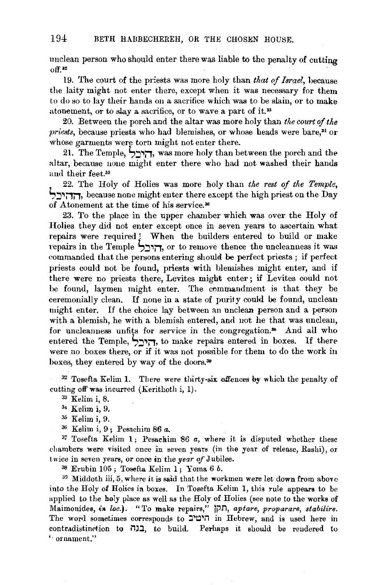unclean person who should enter there was liable to the penalty of cutting off.••

19. The court of the priests was more holy than *that of Israel*, because the laity might not enter there, except when it was necessary for them to do so to lay their hands on a sacrifice which was to be slain, or to make atonement, or to slay a sacrifice, or to wave a part of it.<sup>33</sup>

20. Between the porch and the altar was more holy than *the court of the priests*, because priests who had blemishes, or whose heads were bare,<sup>31</sup> or whose garments were torn might not enter there.

21. The Temple, **S:J"'jT,** was more holy than between the porch and the altar, because none might enter there who had not washed their hands and their feet.<sup>35</sup>

22. The Holy of Holies was more holy than *the rest of the Temple,*  **S:J"'j1jT,** because none might enter there except the high priest on the Day of Atonement at the time of his service.<sup>36</sup>

23. To the place in the upper chamber which was over the Holy of Holies they did not enter except once in seven years to ascertain what repairs were required ! When the builders entered to build or make repairs in the Temple S:J"~jT, or to remove thence the uncleanness it was commanded that the persons entering should be perfect priests; if perfect priests could not be found, priests with blemishes might enter, and if there were no priests there, Levites might enter ; if Levites could not" be found, laymen might enter. The commandment is that they be ceremonially clean. If none in a state of purity could be found, unclean might enter. If the choice lay between an unclean person and a person with a blemish, he with a blemish entered, and not he that was unclean, for uncleanness unfits for service in the congregation.<sup>38</sup> And all who entered the Temple, **S:J"'j1,** to make repairs entered in boxes. If there were no boxes there, or if it was not possible for them to do the work in boxes, they entered by way of the doors.<sup>30</sup>

 $32$  Tosefta Kelim 1. There were thirty-six offences by which the penalty of cutting off was incurred (Kerithoth i, 1).<br> $33$  Kelim i, 8.

- <sup>34</sup> Kelim i, 9.
- *<sup>35</sup>*Kelim i, 9.
- 36 Kelim i, 9 ; Pesachim 86 *a.*

 $37$  Tosefta Kelim 1; Pesachim 86  $a$ , where it is disputed whether these chambers were visited once in seven years (in the year of release, Rashi), or twice in seven years, or once in the *year of* Jubilee.

3S Erubin 105; Tosefta Kelim 1; Yoma 6 *b.* 

 $33$  Middoth iii, 5, where it is said that the workmen were let down from above into the Holy of Holies in boxes. In Tosefta Kelim 1, this rule appears to be applied to the holy place as well as the Holy of Holies (see note to the works of Maimonides, *in loc.*). "To make repairs," חקן, aptare, proparare, stabilire. The word sometimes corresponds to  $T'$ הימים in Hebrew, and is used here in contradistinction to  $\overline{1}$ , to build. Perhaps it should be rendered to '· **ornament."**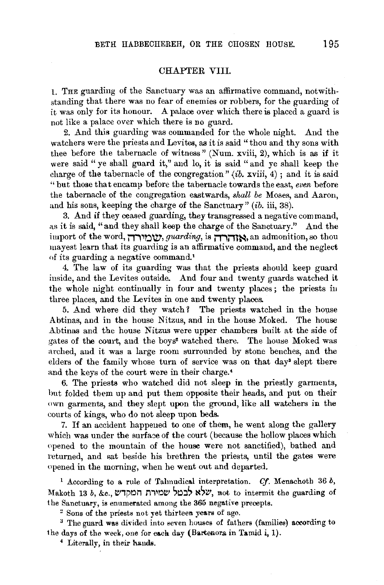### CHAPTER VIII.

L THE guarding of the Sanctuary was an affirmative command, notwithstanding that there was no fear of enemies or robbers, for the guarding of it was only for its honour. A palace over which there is placed a guard is not like a palace over which there is no guard.

2. And this guarding was commanded for the whole night. And the watchers were the priests and Levites, as it is said " thou and thy sons with thee before the tabernacle of witness" (Num. xviii, 2), which is as if it were said " ye shall guard it," and lo, it is said " and ye shall keep the charge of the tabernacle of the congregation"  $\langle ib, xviii, 4 \rangle$ ; and it is said "but those that encamp before the tabernacle towards the east, *even* before the tabernacle of the congregation eastwards, *shall be* Moses, and Aarou, and his sons, keeping the charge of the Sanctuary" (ib. iii, 38).

3. And if they ceased guarding, they transgressed a negative command, as it is said, "and they shall keep the charge of the Sanctuary." And the import of the word, *שירוה, guarding*, is אחרה admonition, so thou mayest learn that its guarding is an affirmative command, and the neglect of its guarding a negative command.'

4. The law of its guarding was that the priests should keep guard inside, and the Levites outside. And four and twenty guards watched it the whole night continually in four and twenty places ; the priests iu three places, and the Levites in one and twenty places.

5. And where did they watch? The priests watched in the house Abtinas, and in the house Nitzus, and in the house Moked. The house Abtinas and the house Nitzus were upper chambers built at the side of gates of the court, and the boys<sup>2</sup> watched there. The house Moked was arched, and it was a large room surrounded by stone benches, and the elders of the family whose turn of service was on that day<sup>3</sup> slept there and the keys of the court were in their charge.<sup>4</sup>

6. The priests who watched did not sleep in the priestly garments, but folded them up and put them opposite their heads, and put on their own garments, and they slept upon the ground, like all watchers in the courts of kings, who do not sleep upon beds.

7. If an accident happened to one of them, he went along the gallery which was under the surface of the court (because the hollow places which opened to the mountain of the house were not sanctified), bathed and returned, and sat beside his brethren the priests, until the gates were opened in the morning, when he went out and departed.

<sup>1</sup> According to a rule of Talmudical interpretation. *Cf.* Menachoth 36  $b$ , Nakoth 13 *b, &c., שמירת* המקדש, not to intermit the guarding of the Sanctuary, is enumerated among the 365 negative precepts.

 $2$  Sons of the priests not yet thirteen years of age.<br> $3$  The guard was divided into seven houses of fathers (families) according to the days of the week, one for each day (Bartenora in Tamid i, 1).

*4* Literally, in their hands.